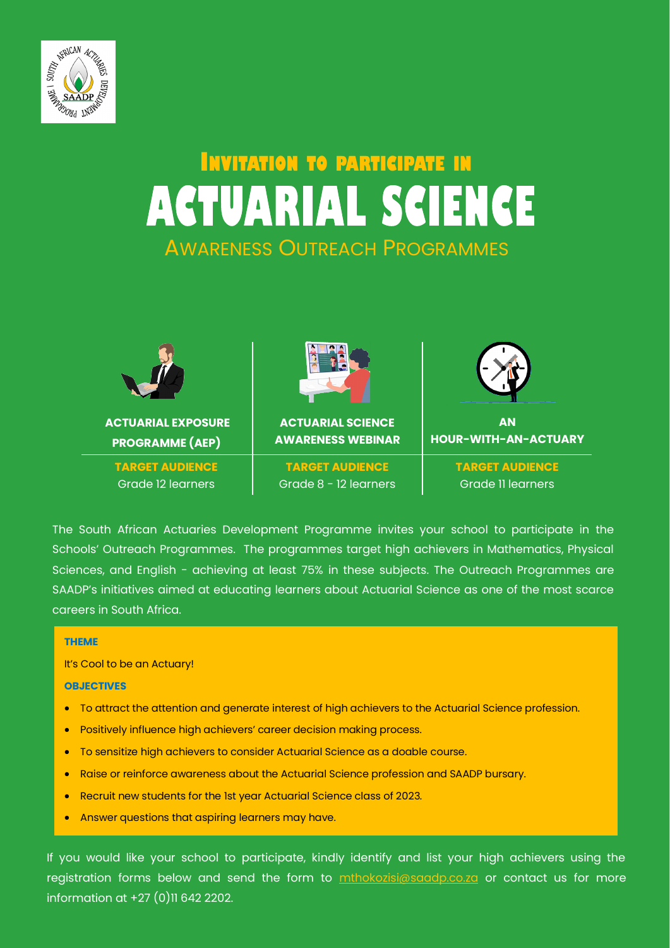

# **INVITATION TO PARTICIPATE IN ACTUARIAL SCIENCE** AWARENESS OUTREACH PROGRAMMES



The South African Actuaries Development Programme invites your school to participate in the Schools' Outreach Programmes. The programmes target high achievers in Mathematics, Physical Sciences, and English - achieving at least 75% in these subjects. The Outreach Programmes are SAADP's initiatives aimed at educating learners about Actuarial Science as one of the most scarce careers in South Africa.

#### **THEME**

It's Cool to be an Actuary!

#### **OBJECTIVES**

- To attract the attention and generate interest of high achievers to the Actuarial Science profession.
- Positively influence high achievers' career decision making process.
- To sensitize high achievers to consider Actuarial Science as a doable course.
- Raise or reinforce awareness about the Actuarial Science profession and SAADP bursary.
- Recruit new students for the 1st year Actuarial Science class of 2023.
- Answer questions that aspiring learners may have.

If you would like your school to participate, kindly identify and list your high achievers using the registration forms below and send the form to **[mthokozisi@saadp.co.za](mailto:mthokozisi@saadp.co.za?subject=Schools)** or contact us for more information at +27 (0)11 642 2202.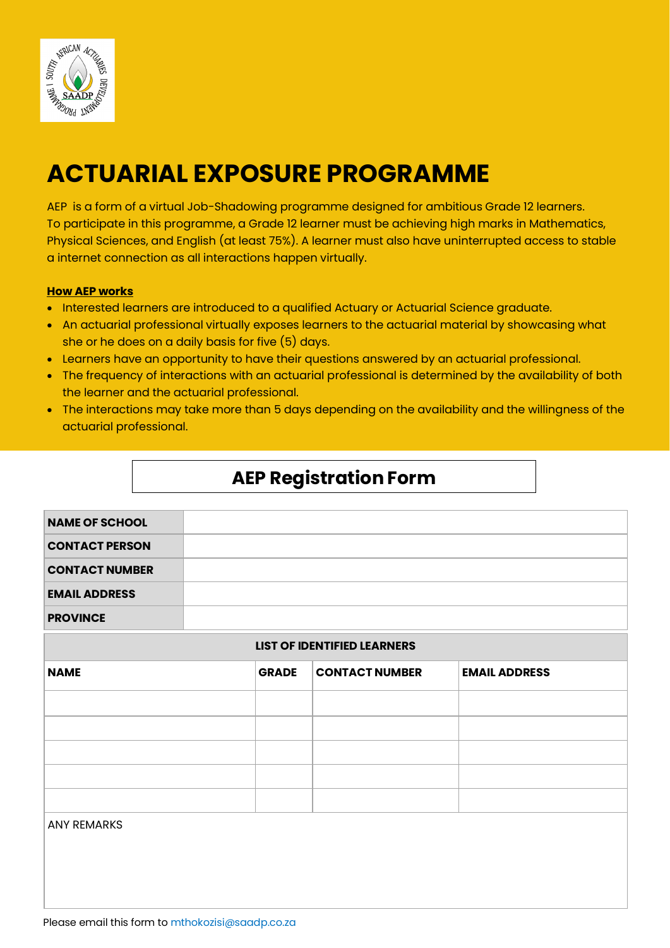

## **ACTUARIAL EXPOSURE PROGRAMME**

AEP is a form of a virtual Job-Shadowing programme designed for ambitious Grade 12 learners. To participate in this programme, a Grade 12 learner must be achieving high marks in Mathematics, Physical Sciences, and English (at least 75%). A learner must also have uninterrupted access to stable a internet connection as all interactions happen virtually.

#### **How AEP works**

- Interested learners are introduced to a qualified Actuary or Actuarial Science graduate.
- An actuarial professional virtually exposes learners to the actuarial material by showcasing what she or he does on a daily basis for five (5) days.
- Learners have an opportunity to have their questions answered by an actuarial professional.
- The frequency of interactions with an actuarial professional is determined by the availability of both the learner and the actuarial professional.
- The interactions may take more than 5 days depending on the availability and the willingness of the actuarial professional.

### **AEP Registration Form**

| <b>NAME OF SCHOOL</b> |  |
|-----------------------|--|
| <b>CONTACT PERSON</b> |  |
| <b>CONTACT NUMBER</b> |  |
| <b>EMAIL ADDRESS</b>  |  |
| <b>PROVINCE</b>       |  |

#### **LIST OF IDENTIFIED LEARNERS**

| <b>NAME</b>        | <b>GRADE</b> | <b>CONTACT NUMBER</b> | <b>EMAIL ADDRESS</b> |
|--------------------|--------------|-----------------------|----------------------|
|                    |              |                       |                      |
|                    |              |                       |                      |
|                    |              |                       |                      |
|                    |              |                       |                      |
|                    |              |                       |                      |
| <b>ANY REMARKS</b> |              |                       |                      |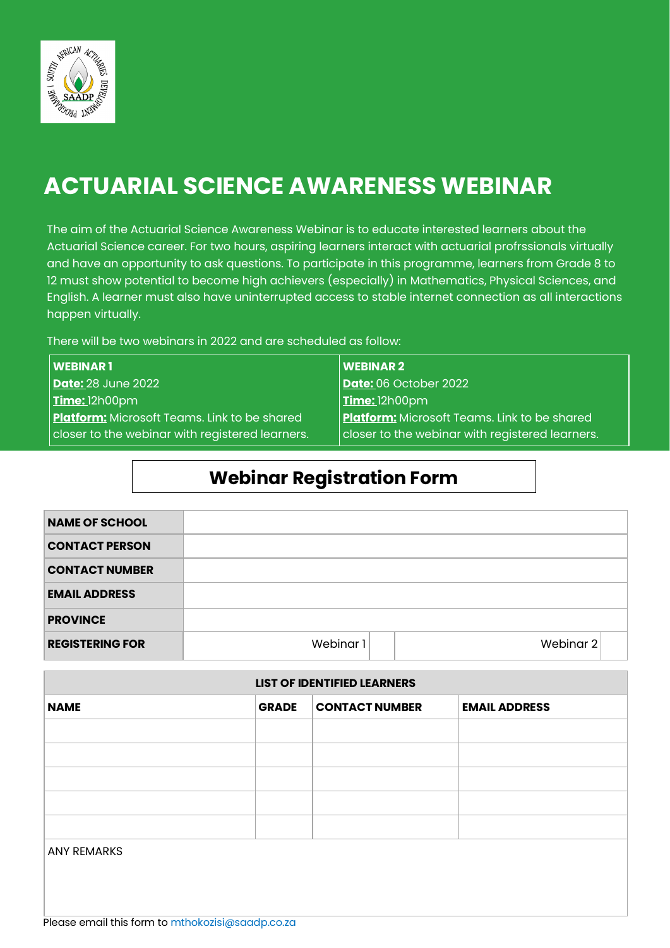

## **ACTUARIAL SCIENCE AWARENESS WEBINAR**

The aim of the Actuarial Science Awareness Webinar is to educate interested learners about the Actuarial Science career. For two hours, aspiring learners interact with actuarial profrssionals virtually and have an opportunity to ask questions. To participate in this programme, learners from Grade 8 to 12 must show potential to become high achievers (especially) in Mathematics, Physical Sciences, and English. A learner must also have uninterrupted access to stable internet connection as all interactions happen virtually.

There will be two webinars in 2022 and are scheduled as follow:

| <b>WEBINAR1</b>                                     | WEBINAR <sub>2</sub>                                    |
|-----------------------------------------------------|---------------------------------------------------------|
| <b>Date:</b> 28 June 2022                           | <b>Date: 06 October 2022</b>                            |
| $\overline{\text{Time:}}$ 12h00pm                   | $\vert$ Time: 12h00pm                                   |
| <b>Platform:</b> Microsoft Teams. Link to be shared | <b>Platform:</b> Microsoft Teams. Link to be shared     |
| closer to the webinar with registered learners.     | $\vert$ closer to the webinar with registered learners. |

### **Webinar Registration Form**

| <b>NAME OF SCHOOL</b>  |           |           |
|------------------------|-----------|-----------|
| <b>CONTACT PERSON</b>  |           |           |
| <b>CONTACT NUMBER</b>  |           |           |
| <b>EMAIL ADDRESS</b>   |           |           |
| <b>PROVINCE</b>        |           |           |
| <b>REGISTERING FOR</b> | Webinar 1 | Webinar 2 |

| <b>LIST OF IDENTIFIED LEARNERS</b> |              |                       |                      |
|------------------------------------|--------------|-----------------------|----------------------|
| <b>NAME</b>                        | <b>GRADE</b> | <b>CONTACT NUMBER</b> | <b>EMAIL ADDRESS</b> |
|                                    |              |                       |                      |
|                                    |              |                       |                      |
|                                    |              |                       |                      |
|                                    |              |                       |                      |
|                                    |              |                       |                      |
| <b>ANY REMARKS</b>                 |              |                       |                      |